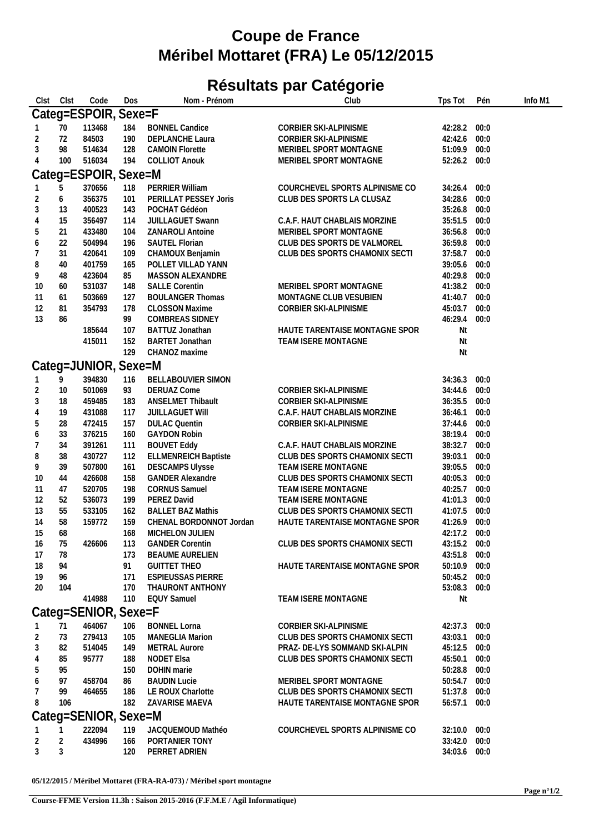## **Coupe de France Méribel Mottaret (FRA) Le 05/12/2015**

## **Résultats par Catégorie**

| Clst           | Clst       | Code                 | Dos | Nom - Prénom                | Club                           | Tps Tot      | Pén  | Info M1 |
|----------------|------------|----------------------|-----|-----------------------------|--------------------------------|--------------|------|---------|
|                |            | Categ=ESPOIR, Sexe=F |     |                             |                                |              |      |         |
|                | 70         | 113468               | 184 | <b>BONNEL Candice</b>       | CORBIER SKI-ALPINISME          | 42:28.2 00:0 |      |         |
| 2              | 72         | 84503                | 190 | DEPLANCHE Laura             | CORBIER SKI-ALPINISME          | 42:42.6 00:0 |      |         |
| 3              | 98         | 514634               | 128 | <b>CAMOIN Florette</b>      | MERIBEL SPORT MONTAGNE         | 51:09.9 00:0 |      |         |
| 4              | 100        | 516034               | 194 | <b>COLLIOT Anouk</b>        | MERIBEL SPORT MONTAGNE         | 52:26.2 00:0 |      |         |
|                |            |                      |     |                             |                                |              |      |         |
|                |            | Categ=ESPOIR, Sexe=M |     |                             |                                |              |      |         |
|                | 5          | 370656               | 118 | PERRIER William             | COURCHEVEL SPORTS ALPINISME CO | 34:26.4      | 00:0 |         |
| 2              | 6          | 356375               | 101 | PERILLAT PESSEY Joris       | CLUB DES SPORTS LA CLUSAZ      | 34:28.6      | 00:0 |         |
| 3              | 13         | 400523               | 143 | POCHAT Gédéon               |                                | 35:26.8 00:0 |      |         |
| 4              | 15         | 356497               | 114 | <b>JUILLAGUET Swann</b>     | C.A.F. HAUT CHABLAIS MORZINE   | 35:51.5 00:0 |      |         |
| 5              | 21         | 433480               | 104 | ZANAROLI Antoine            | MERIBEL SPORT MONTAGNE         | 36:56.8 00:0 |      |         |
| 6              | 22         | 504994               | 196 | SAUTEL Florian              | CLUB DES SPORTS DE VALMOREL    | 36:59.8 00:0 |      |         |
| 7              | 31         | 420641               | 109 | CHAMOUX Benjamin            | CLUB DES SPORTS CHAMONIX SECTI | 37:58.7      | 00:0 |         |
| 8              | 40         | 401759               | 165 | POLLET VILLAD YANN          |                                | 39:05.6      | 00:0 |         |
| 9              | 48         | 423604               | 85  | MASSON ALEXANDRE            |                                | 40:29.8 00:0 |      |         |
| 10             | 60         | 531037               | 148 | <b>SALLE Corentin</b>       | MERIBEL SPORT MONTAGNE         | 41:38.2 00:0 |      |         |
| 11             | 61         | 503669               | 127 | <b>BOULANGER Thomas</b>     | MONTAGNE CLUB VESUBIEN         | 41:40.7      | 00:0 |         |
| 12             | 81         | 354793               | 178 | <b>CLOSSON Maxime</b>       | CORBIER SKI-ALPINISME          | 45:03.7      | 00:0 |         |
| 13             | 86         |                      | 99  | COMBREAS SIDNEY             |                                | 46:29.4      | 00:0 |         |
|                |            | 185644               | 107 | BATTUZ Jonathan             | HAUTE TARENTAISE MONTAGNE SPOR | Nt           |      |         |
|                |            | 415011               | 152 | BARTET Jonathan             | TEAM ISERE MONTAGNE            | Nt           |      |         |
|                |            |                      | 129 | CHANOZ maxime               |                                | Nt           |      |         |
|                |            |                      |     |                             |                                |              |      |         |
|                |            | Categ=JUNIOR, Sexe=M |     |                             |                                |              |      |         |
|                | 9          | 394830               | 116 | <b>BELLABOUVIER SIMON</b>   |                                | 34:36.3      | 00:0 |         |
| $\overline{2}$ | 10         | 501069               | 93  | <b>DERUAZ Come</b>          | CORBIER SKI-ALPINISME          | 34:44.6      | 00:0 |         |
| 3              | 18         | 459485               | 183 | <b>ANSELMET Thibault</b>    | CORBIER SKI-ALPINISME          | 36:35.5 00:0 |      |         |
| 4              | 19         | 431088               | 117 | JUILLAGUET WIII             | C.A.F. HAUT CHABLAIS MORZINE   | 36:46.1      | 00:0 |         |
| 5              | 28         | 472415               | 157 | <b>DULAC Quentin</b>        | CORBIER SKI-ALPINISME          | 37:44.6      | 00:0 |         |
| 6              | 33         | 376215               | 160 | <b>GAYDON Robin</b>         |                                | 38:19.4 00:0 |      |         |
|                | 34         | 391261               | 111 | <b>BOUVET Eddy</b>          | C.A.F. HAUT CHABLAIS MORZINE   | 38:32.7 00:0 |      |         |
| 8              | 38         | 430727               | 112 | <b>ELLMENREICH Baptiste</b> | CLUB DES SPORTS CHAMONIX SECTI | 39:03.1      | 00:0 |         |
| 9              | 39         | 507800               | 161 | <b>DESCAMPS Ulysse</b>      | TEAM ISERE MONTAGNE            | 39:05.5      | 00:0 |         |
| 10             | 44         | 426608               | 158 | <b>GANDER Alexandre</b>     | CLUB DES SPORTS CHAMONIX SECTI | 40:05.3 00:0 |      |         |
| 11             | 47         | 520705               | 198 | <b>CORNUS Samuel</b>        | TEAM ISERE MONTAGNE            | 40:25.7 00:0 |      |         |
| 12             | 52         | 536073               | 199 | PEREZ David                 | TEAM ISERE MONTAGNE            | 41:01.3      | 00:0 |         |
| 13             | 55         | 533105               | 162 | <b>BALLET BAZ Mathis</b>    | CLUB DES SPORTS CHAMONIX SECTI | 41:07.5      | 00:0 |         |
| 14             | 58         | 159772               | 159 | CHENAL BORDONNOT Jordan     | HAUTE TARENTAISE MONTAGNE SPOR | 41:26.9      | 00:0 |         |
| 15             | 68         |                      | 168 | MICHELON JULIEN             |                                | 42:17.2 00:0 |      |         |
| 16             | 75         | 426606               | 113 | <b>GANDER Corentin</b>      | CLUB DES SPORTS CHAMONIX SECTI | 43:15.2 00:0 |      |         |
| 17             | 78         |                      | 173 | <b>BEAUME AURELIEN</b>      |                                | 43:51.8 00:0 |      |         |
| 18             | 94         |                      | 91  | <b>GUITTET THEO</b>         | HAUTE TARENTAISE MONTAGNE SPOR | 50:10.9 00:0 |      |         |
| 19             | 96         |                      | 171 | <b>ESPIEUSSAS PIERRE</b>    |                                | 50:45.2 00:0 |      |         |
| 20             | 104        |                      | 170 | THAURONT ANTHONY            |                                | 53:08.3 00:0 |      |         |
|                |            | 414988               | 110 | <b>EQUY Samuel</b>          | TEAM ISERE MONTAGNE            | Nt           |      |         |
|                |            | Categ=SENIOR, Sexe=F |     |                             |                                |              |      |         |
|                | 71         | 464067               | 106 | <b>BONNEL Lorna</b>         | CORBIER SKI-ALPINISME          | 42:37.3 00:0 |      |         |
|                | 73         |                      |     | <b>MANEGLIA Marion</b>      | CLUB DES SPORTS CHAMONIX SECTI | 43:03.1 00:0 |      |         |
| 2              |            | 279413               | 105 |                             |                                |              |      |         |
| 3              | 82         | 514045               | 149 | <b>METRAL Aurore</b>        | PRAZ- DE-LYS SOMMAND SKI-ALPIN | 45:12.5 00:0 |      |         |
| 4              | 85         | 95777                | 188 | NODET Elsa                  | CLUB DES SPORTS CHAMONIX SECTI | 45:50.1 00:0 |      |         |
| 5              | 95         |                      | 150 | DOHIN marie                 |                                | 50:28.8 00:0 |      |         |
| 6              | 97         | 458704               | 86  | <b>BAUDIN Lucie</b>         | MERIBEL SPORT MONTAGNE         | 50:54.7 00:0 |      |         |
|                | 99         | 464655               | 186 | LE ROUX Charlotte           | CLUB DES SPORTS CHAMONIX SECTI | 51:37.8 00:0 |      |         |
| 8              | 106        |                      | 182 | ZAVARISE MAEVA              | HAUTE TARENTAISE MONTAGNE SPOR | 56:57.1 00:0 |      |         |
|                |            | Categ=SENIOR, Sexe=M |     |                             |                                |              |      |         |
|                |            | 222094               | 119 | JACQUEMOUD Mathéo           | COURCHEVEL SPORTS ALPINISME CO | 32:10.0 00:0 |      |         |
| 2              | $\sqrt{2}$ | 434996               | 166 | PORTANIER TONY              |                                | 33:42.0 00:0 |      |         |
| 3              | 3          |                      | 120 | PERRET ADRIEN               |                                | 34:03.6 00:0 |      |         |
|                |            |                      |     |                             |                                |              |      |         |

**05/12/2015 / Méribel Mottaret (FRA-RA-073) / Méribel sport montagne**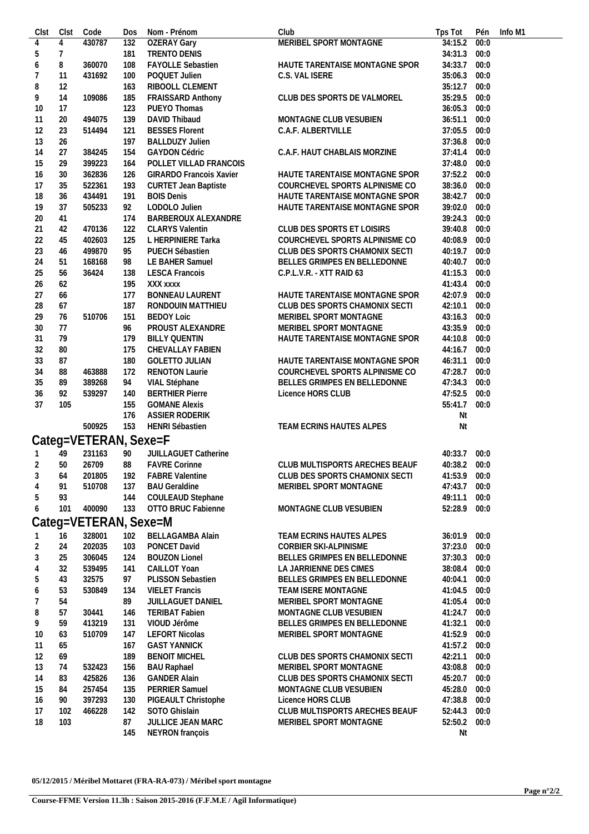| Clst           | Clst           | Code                  | Dos        | Nom - Prénom                              | Club                                                             | Tps Tot            |              | Pén Info M1 |
|----------------|----------------|-----------------------|------------|-------------------------------------------|------------------------------------------------------------------|--------------------|--------------|-------------|
| 4              | 4              | 430787                | 132        | <b>OZERAY Gary</b>                        | MERIBEL SPORT MONTAGNE                                           | 34:15.2            | 00:0         |             |
| 5              | $\overline{7}$ |                       | 181        | TRENTO DENIS                              |                                                                  | 34:31.3            | 00:0         |             |
| 6              | 8              | 360070                | 108        | <b>FAYOLLE Sebastien</b>                  | HAUTE TARENTAISE MONTAGNE SPOR                                   | 34:33.7            | 00:0         |             |
| 7              | 11             | 431692                | 100        | POQUET Julien                             | C.S. VAL ISERE                                                   | 35:06.3            | 00:0         |             |
| 8              | 12             |                       | 163        | RIBOOLL CLEMENT                           |                                                                  | 35:12.7            | 00:0         |             |
| 9              | 14             | 109086                | 185        | FRAISSARD Anthony                         | CLUB DES SPORTS DE VALMOREL                                      | 35:29.5            | 00:0         |             |
| 10             | 17             |                       | 123        | PUEYO Thomas                              |                                                                  | 36:05.3            | 00:0         |             |
| 11             | 20             | 494075                | 139        | DAVID Thibaud                             | MONTAGNE CLUB VESUBIEN                                           | 36:51.1            | 00:0         |             |
| 12             | 23             | 514494                | 121        | <b>BESSES Florent</b>                     | C.A.F. ALBERTVILLE                                               | 37:05.5            | 00:0         |             |
| 13             | 26             |                       | 197        | <b>BALLDUZY Julien</b>                    |                                                                  | 37:36.8            | 00:0         |             |
| 14             | 27             | 384245                | 154        | <b>GAYDON Cédric</b>                      | C.A.F. HAUT CHABLAIS MORZINE                                     | 37:41.4            | 00:0         |             |
| 15             | 29             | 399223                | 164        | POLLET VILLAD FRANCOIS                    |                                                                  | 37:48.0 00:0       |              |             |
| 16             | 30             | 362836                | 126        | <b>GIRARDO Francois Xavier</b>            | HAUTE TARENTAISE MONTAGNE SPOR                                   | 37:52.2 00:0       |              |             |
| 17             | 35             | 522361                | 193        | <b>CURTET Jean Baptiste</b>               | COURCHEVEL SPORTS ALPINISME CO                                   | 38:36.0            | 00:0         |             |
| 18             | 36             | 434491                | 191        | <b>BOIS Denis</b>                         | HAUTE TARENTAISE MONTAGNE SPOR                                   | 38:42.7            | 00:0         |             |
| 19             | 37             | 505233                | 92         | LODOLO Julien                             | HAUTE TARENTAISE MONTAGNE SPOR                                   | 39:02.0 00:0       |              |             |
| 20             | 41             |                       | 174        | BARBEROUX ALEXANDRE                       |                                                                  | 39:24.3            | 00:0         |             |
| 21             | 42             | 470136                | 122        | <b>CLARYS Valentin</b>                    | CLUB DES SPORTS ET LOISIRS                                       | 39:40.8            | 00:0         |             |
| 22             | 45             | 402603                | 125        | L HERPINIERE Tarka                        | COURCHEVEL SPORTS ALPINISME CO                                   | 40:08.9            | 00:0         |             |
| 23             | 46             | 499870                | 95         | PUECH Sébastien                           | CLUB DES SPORTS CHAMONIX SECTI                                   | 40:19.7            | 00:0         |             |
| 24             | 51             | 168168                | 98         | LE BAHER Samuel                           | BELLES GRIMPES EN BELLEDONNE                                     | 40:40.7            | 00:0         |             |
| 25             | 56             | 36424                 | 138        | <b>LESCA Francois</b>                     | C.P.L.V.R. - XTT RAID 63                                         | 41:15.3            | 00:0         |             |
| 26             | 62             |                       | 195        | XXX xxxx                                  |                                                                  | 41:43.4            | 00:0         |             |
| 27             | 66             |                       | 177        | BONNEAU LAURENT                           | HAUTE TARENTAISE MONTAGNE SPOR                                   | 42:07.9 00:0       |              |             |
| 28             | 67             |                       | 187        | RONDOUIN MATTHIEU                         | CLUB DES SPORTS CHAMONIX SECTI                                   | 42:10.1            | 00:0         |             |
| 29             | 76             | 510706                | 151        | <b>BEDOY Loic</b>                         | MERIBEL SPORT MONTAGNE                                           | 43:16.3            | 00:0         |             |
| 30             | 77             |                       | 96         | PROUST ALEXANDRE                          | MERIBEL SPORT MONTAGNE                                           | 43:35.9            | 00:0         |             |
| 31             | 79             |                       | 179        | <b>BILLY QUENTIN</b>                      | HAUTE TARENTAISE MONTAGNE SPOR                                   | 44:10.8            | 00:0         |             |
| 32             | 80             |                       | 175        | CHEVALLAY FABIEN<br><b>GOLETTO JULIAN</b> |                                                                  | 44:16.7            | 00:0         |             |
| 33             | 87<br>88       |                       | 180<br>172 | <b>RENOTON Laurie</b>                     | HAUTE TARENTAISE MONTAGNE SPOR<br>COURCHEVEL SPORTS ALPINISME CO | 46:31.1<br>47:28.7 | 00:0<br>00:0 |             |
| 34             | 89             | 463888<br>389268      | 94         | VIAL Stéphane                             | BELLES GRIMPES EN BELLEDONNE                                     | 47:34.3            | 00:0         |             |
| 35<br>36       | 92             | 539297                | 140        | <b>BERTHIER Pierre</b>                    | Licence HORS CLUB                                                | 47:52.5            | 00:0         |             |
| 37             | 105            |                       | 155        | <b>GOMANE Alexis</b>                      |                                                                  | 55:41.7            | 00:0         |             |
|                |                |                       | 176        | ASSIER RODERIK                            |                                                                  | Nt                 |              |             |
|                |                | 500925                | 153        | HENRI Sébastien                           | TEAM ECRINS HAUTES ALPES                                         | Nt                 |              |             |
|                |                |                       |            |                                           |                                                                  |                    |              |             |
|                |                | Categ=VETERAN, Sexe=F |            |                                           |                                                                  |                    |              |             |
| $\overline{1}$ | 49             | 231163                | 90         | JUILLAGUET Catherine                      |                                                                  | 40:33.7            | 00:0         |             |
| $\overline{2}$ | 50             | 26709                 | 88         | <b>FAVRE Corinne</b>                      | CLUB MULTISPORTS ARECHES BEAUF                                   | 40:38.2 00:0       |              |             |
| 3              | 64             | 201805                | 192        | <b>FABRE Valentine</b>                    | CLUB DES SPORTS CHAMONIX SECTI                                   | 41:53.9 00:0       |              |             |
| 4              | 91             | 510708                | 137        | <b>BAU Geraldine</b>                      | MERIBEL SPORT MONTAGNE                                           | 47:43.7            | 00:0         |             |
| 5              | 93             |                       | 144        | COULEAUD Stephane                         |                                                                  | 49:11.1            | 00:0         |             |
| 6              | 101            | 400090                | 133        | OTTO BRUC Fabienne                        | MONTAGNE CLUB VESUBIEN                                           | 52:28.9            | 00:0         |             |
|                |                | Categ=VETERAN, Sexe=M |            |                                           |                                                                  |                    |              |             |
| $\overline{1}$ | 16             | 328001                | 102        | <b>BELLAGAMBA Alain</b>                   | TEAM ECRINS HAUTES ALPES                                         | 36:01.9            | 00:0         |             |
| $\overline{2}$ | 24             | 202035                | 103        | PONCET David                              | <b>CORBIER SKI-ALPINISME</b>                                     | 37:23.0            | 00:0         |             |
| 3              | 25             | 306045                | 124        | <b>BOUZON Lionel</b>                      | BELLES GRIMPES EN BELLEDONNE                                     | 37:30.3            | 00:0         |             |
| 4              | 32             | 539495                | 141        | CAILLOT Yoan                              | LA JARRIENNE DES CIMES                                           | 38:08.4            | 00:0         |             |
| 5              | 43             | 32575                 | 97         | PLISSON Sebastien                         | BELLES GRIMPES EN BELLEDONNE                                     | 40:04.1            | 00:0         |             |
| 6              | 53             | 530849                | 134        | <b>VIELET Francis</b>                     | TEAM ISERE MONTAGNE                                              | 41:04.5            | 00:0         |             |
| 7              | 54             |                       | 89         | JUILLAGUET DANIEL                         | MERIBEL SPORT MONTAGNE                                           | 41:05.4            | 00:0         |             |
| 8              | 57             | 30441                 | 146        | <b>TERIBAT Fabien</b>                     | MONTAGNE CLUB VESUBIEN                                           | 41:24.7            | 00:0         |             |
| 9              | 59             | 413219                | 131        | VIOUD Jérôme                              | BELLES GRIMPES EN BELLEDONNE                                     | 41:32.1            | 00:0         |             |
| 10             | 63             | 510709                | 147        | <b>LEFORT Nicolas</b>                     | MERIBEL SPORT MONTAGNE                                           | 41:52.9 00:0       |              |             |
| -11            | 65             |                       | 167        | <b>GAST YANNICK</b>                       |                                                                  | 41:57.2            | 00:0         |             |
| 12             | 69             |                       | 189        | <b>BENOIT MICHEL</b>                      | CLUB DES SPORTS CHAMONIX SECTI                                   | 42:21.1            | 00:0         |             |
| 13             | 74             | 532423                | 156        | <b>BAU Raphael</b>                        | MERIBEL SPORT MONTAGNE                                           | 43:08.8            | 00:0         |             |
| 14             | 83             | 425826                | 136        | <b>GANDER Alain</b>                       | CLUB DES SPORTS CHAMONIX SECTI                                   | 45:20.7            | 00:0         |             |
| 15             | 84             | 257454                | 135        | PERRIER Samuel                            | MONTAGNE CLUB VESUBIEN                                           | 45:28.0 00:0       |              |             |
| 16             | 90             | 397293                | 130        | PIGEAULT Christophe                       | Licence HORS CLUB                                                | 47:38.8            | 00:0         |             |
| 17             | 102            | 466228                | 142        | SOTO Ghislain                             | CLUB MULTISPORTS ARECHES BEAUF                                   | 52:44.3            | 00:0         |             |
| 18             | 103            |                       | 87         | JULLICE JEAN MARC                         | MERIBEL SPORT MONTAGNE                                           | 52:50.2            | 00:0         |             |
|                |                |                       | 145        | NEYRON françois                           |                                                                  | Nt                 |              |             |

**05/12/2015 / Méribel Mottaret (FRA-RA-073) / Méribel sport montagne**